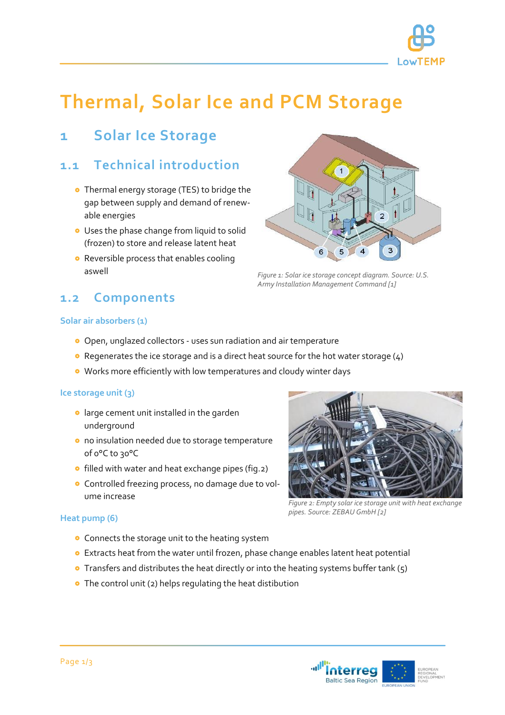

# **Thermal, Solar Ice and PCM Storage**

### **1 Solar Ice Storage**

### **1.1 Technical introduction**

- Thermal energy storage (TES) to bridge the gap between supply and demand of renewable energies
- **•** Uses the phase change from liquid to solid (frozen) to store and release latent heat
- **•** Reversible process that enables cooling aswell

## **1.2 Components**



*Figure 1: Solar ice storage concept diagram. Source: U.S. Army Installation Management Command [1]*

#### **Solar air absorbers (1)**

- Open, unglazed collectors uses sun radiation and air temperature
- Regenerates the ice storage and is a direct heat source for the hot water storage (4)
- Works more efficiently with low temperatures and cloudy winter days

#### **Ice storage unit (3)**

- **o** large cement unit installed in the garden underground
- o no insulation needed due to storage temperature of 0°C to 30°C
- **o** filled with water and heat exchange pipes (fig.2)
- Controlled freezing process, no damage due to volume increase

#### **Heat pump (6)**

- **•** Connects the storage unit to the heating system
- Extracts heat from the water until frozen, phase change enables latent heat potential
- **•** Transfers and distributes the heat directly or into the heating systems buffer tank (5)
- The control unit (2) helps regulating the heat distibution



*Figure 2: Empty solar ice storage unit with heat exchange pipes. Source: ZEBAU GmbH [2]*

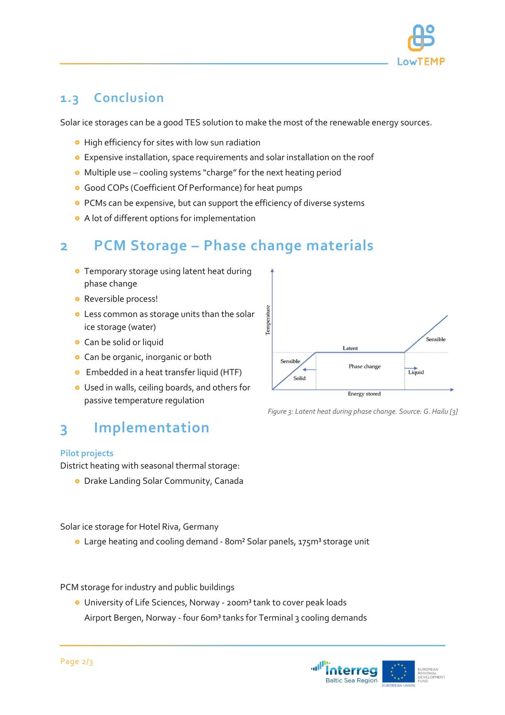

### **1.3 Conclusion**

Solar ice storages can be a good TES solution to make the most of the renewable energy sources.

- **•** High efficiency for sites with low sun radiation
- Expensive installation, space requirements and solar installation on the roof
- Multiple use cooling systems "charge" for the next heating period
- Good COPs (Coefficient Of Performance) for heat pumps
- **•** PCMs can be expensive, but can support the efficiency of diverse systems
- A lot of different options for implementation

# **2 PCM Storage – Phase change materials**

- **Temporary storage using latent heat during** phase change
- **•** Reversible process!
- **.** Less common as storage units than the solar ice storage (water)
- **•** Can be solid or liquid
- **•** Can be organic, inorganic or both
- **•** Embedded in a heat transfer liquid (HTF)
- Used in walls, ceiling boards, and others for passive temperature regulation

### **3 Implementation**

#### **Pilot projects**

District heating with seasonal thermal storage:

**•** Drake Landing Solar Community, Canada

Solar ice storage for Hotel Riva, Germany

**.** Large heating and cooling demand - 80m<sup>2</sup> Solar panels, 175m<sup>3</sup> storage unit

PCM storage for industry and public buildings

**O** University of Life Sciences, Norway - 200m<sup>3</sup> tank to cover peak loads Airport Bergen, Norway - four 60m<sup>3</sup> tanks for Terminal 3 cooling demands



*Figure 3: Latent heat during phase change. Source: G. Hailu [3]*